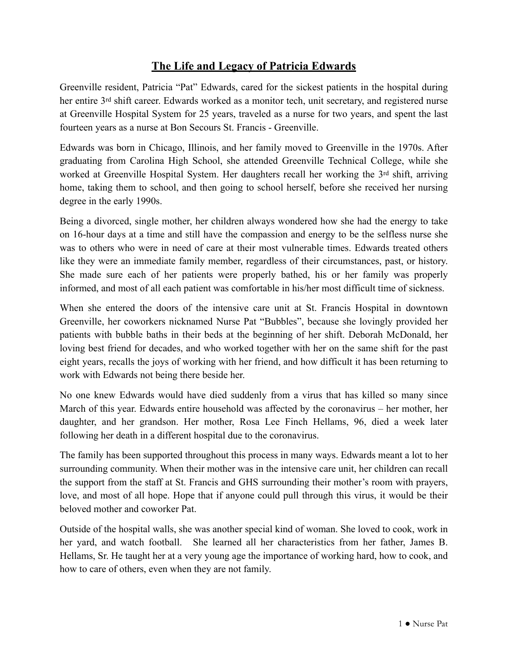## **The Life and Legacy of Patricia Edwards**

Greenville resident, Patricia "Pat" Edwards, cared for the sickest patients in the hospital during her entire 3<sup>rd</sup> shift career. Edwards worked as a monitor tech, unit secretary, and registered nurse at Greenville Hospital System for 25 years, traveled as a nurse for two years, and spent the last fourteen years as a nurse at Bon Secours St. Francis - Greenville.

Edwards was born in Chicago, Illinois, and her family moved to Greenville in the 1970s. After graduating from Carolina High School, she attended Greenville Technical College, while she worked at Greenville Hospital System. Her daughters recall her working the 3rd shift, arriving home, taking them to school, and then going to school herself, before she received her nursing degree in the early 1990s.

Being a divorced, single mother, her children always wondered how she had the energy to take on 16-hour days at a time and still have the compassion and energy to be the selfless nurse she was to others who were in need of care at their most vulnerable times. Edwards treated others like they were an immediate family member, regardless of their circumstances, past, or history. She made sure each of her patients were properly bathed, his or her family was properly informed, and most of all each patient was comfortable in his/her most difficult time of sickness.

When she entered the doors of the intensive care unit at St. Francis Hospital in downtown Greenville, her coworkers nicknamed Nurse Pat "Bubbles", because she lovingly provided her patients with bubble baths in their beds at the beginning of her shift. Deborah McDonald, her loving best friend for decades, and who worked together with her on the same shift for the past eight years, recalls the joys of working with her friend, and how difficult it has been returning to work with Edwards not being there beside her.

No one knew Edwards would have died suddenly from a virus that has killed so many since March of this year. Edwards entire household was affected by the coronavirus – her mother, her daughter, and her grandson. Her mother, Rosa Lee Finch Hellams, 96, died a week later following her death in a different hospital due to the coronavirus.

The family has been supported throughout this process in many ways. Edwards meant a lot to her surrounding community. When their mother was in the intensive care unit, her children can recall the support from the staff at St. Francis and GHS surrounding their mother's room with prayers, love, and most of all hope. Hope that if anyone could pull through this virus, it would be their beloved mother and coworker Pat.

Outside of the hospital walls, she was another special kind of woman. She loved to cook, work in her yard, and watch football. She learned all her characteristics from her father, James B. Hellams, Sr. He taught her at a very young age the importance of working hard, how to cook, and how to care of others, even when they are not family.